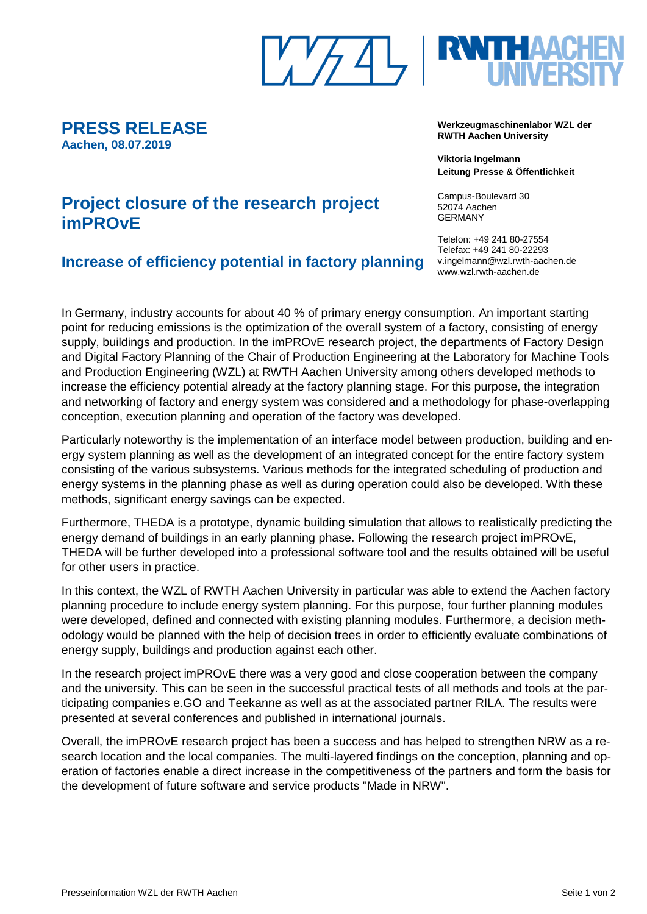

**Werkzeugmaschinenlabor WZL der RWTH Aachen University**

> **Viktoria Ingelmann Leitung Presse & Öffentlichkeit**

Campus-Boulevard 30 52074 Aachen GERMANY

Telefon: +49 241 80-27554 Telefax: +49 241 80-22293 v.ingelmann@wzl.rwth-aachen.de www.wzl.rwth-aachen.de

# **Project closure of the research project imPROvE**

**PRESS RELEASE**

**Aachen, 08.07.2019**

## **Increase of efficiency potential in factory planning**

In Germany, industry accounts for about 40 % of primary energy consumption. An important starting point for reducing emissions is the optimization of the overall system of a factory, consisting of energy supply, buildings and production. In the imPROvE research project, the departments of Factory Design and Digital Factory Planning of the Chair of Production Engineering at the Laboratory for Machine Tools and Production Engineering (WZL) at RWTH Aachen University among others developed methods to increase the efficiency potential already at the factory planning stage. For this purpose, the integration and networking of factory and energy system was considered and a methodology for phase-overlapping conception, execution planning and operation of the factory was developed.

Particularly noteworthy is the implementation of an interface model between production, building and energy system planning as well as the development of an integrated concept for the entire factory system consisting of the various subsystems. Various methods for the integrated scheduling of production and energy systems in the planning phase as well as during operation could also be developed. With these methods, significant energy savings can be expected.

Furthermore, THEDA is a prototype, dynamic building simulation that allows to realistically predicting the energy demand of buildings in an early planning phase. Following the research project imPROvE, THEDA will be further developed into a professional software tool and the results obtained will be useful for other users in practice.

In this context, the WZL of RWTH Aachen University in particular was able to extend the Aachen factory planning procedure to include energy system planning. For this purpose, four further planning modules were developed, defined and connected with existing planning modules. Furthermore, a decision methodology would be planned with the help of decision trees in order to efficiently evaluate combinations of energy supply, buildings and production against each other.

In the research project imPROvE there was a very good and close cooperation between the company and the university. This can be seen in the successful practical tests of all methods and tools at the participating companies e.GO and Teekanne as well as at the associated partner RILA. The results were presented at several conferences and published in international journals.

Overall, the imPROvE research project has been a success and has helped to strengthen NRW as a research location and the local companies. The multi-layered findings on the conception, planning and operation of factories enable a direct increase in the competitiveness of the partners and form the basis for the development of future software and service products "Made in NRW".